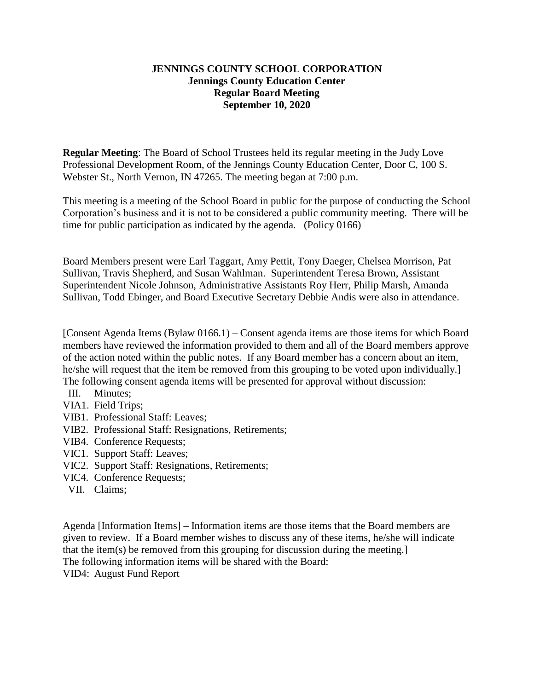## **JENNINGS COUNTY SCHOOL CORPORATION Jennings County Education Center Regular Board Meeting September 10, 2020**

**Regular Meeting**: The Board of School Trustees held its regular meeting in the Judy Love Professional Development Room, of the Jennings County Education Center, Door C, 100 S. Webster St., North Vernon, IN 47265. The meeting began at 7:00 p.m.

This meeting is a meeting of the School Board in public for the purpose of conducting the School Corporation's business and it is not to be considered a public community meeting. There will be time for public participation as indicated by the agenda. (Policy 0166)

Board Members present were Earl Taggart, Amy Pettit, Tony Daeger, Chelsea Morrison, Pat Sullivan, Travis Shepherd, and Susan Wahlman. Superintendent Teresa Brown, Assistant Superintendent Nicole Johnson, Administrative Assistants Roy Herr, Philip Marsh, Amanda Sullivan, Todd Ebinger, and Board Executive Secretary Debbie Andis were also in attendance.

[Consent Agenda Items (Bylaw 0166.1) – Consent agenda items are those items for which Board members have reviewed the information provided to them and all of the Board members approve of the action noted within the public notes. If any Board member has a concern about an item, he/she will request that the item be removed from this grouping to be voted upon individually.] The following consent agenda items will be presented for approval without discussion:

- III. Minutes;
- VIA1. Field Trips;
- VIB1. Professional Staff: Leaves;
- VIB2. Professional Staff: Resignations, Retirements;
- VIB4. Conference Requests;
- VIC1. Support Staff: Leaves;
- VIC2. Support Staff: Resignations, Retirements;
- VIC4. Conference Requests;
- VII. Claims;

Agenda [Information Items] – Information items are those items that the Board members are given to review. If a Board member wishes to discuss any of these items, he/she will indicate that the item(s) be removed from this grouping for discussion during the meeting.] The following information items will be shared with the Board: VID4: August Fund Report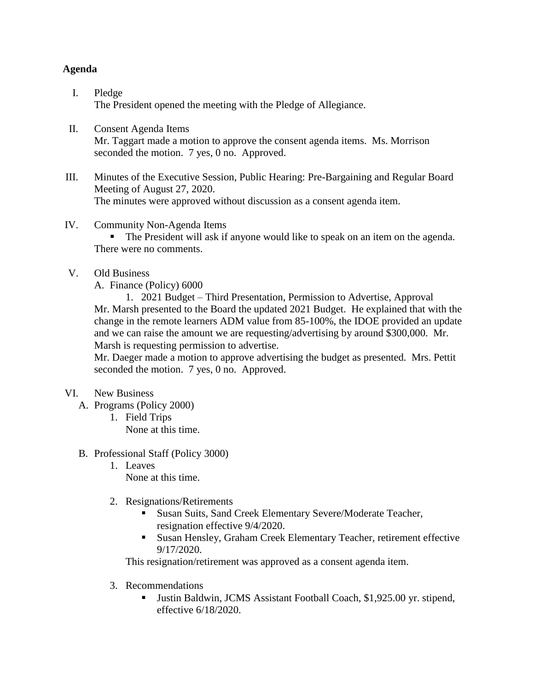## **Agenda**

- I. Pledge The President opened the meeting with the Pledge of Allegiance.
- II. Consent Agenda Items Mr. Taggart made a motion to approve the consent agenda items. Ms. Morrison seconded the motion. 7 yes, 0 no. Approved.
- III. Minutes of the Executive Session, Public Hearing: Pre-Bargaining and Regular Board Meeting of August 27, 2020. The minutes were approved without discussion as a consent agenda item.
- IV. Community Non-Agenda Items

 The President will ask if anyone would like to speak on an item on the agenda. There were no comments.

- V. Old Business
	- A. Finance (Policy) 6000

1. 2021 Budget – Third Presentation, Permission to Advertise, Approval Mr. Marsh presented to the Board the updated 2021 Budget. He explained that with the change in the remote learners ADM value from 85-100%, the IDOE provided an update and we can raise the amount we are requesting/advertising by around \$300,000. Mr. Marsh is requesting permission to advertise.

Mr. Daeger made a motion to approve advertising the budget as presented. Mrs. Pettit seconded the motion. 7 yes, 0 no. Approved.

- VI. New Business
	- A. Programs (Policy 2000)
		- 1. Field Trips None at this time.
	- B. Professional Staff (Policy 3000)
		- 1. Leaves None at this time.
		- 2. Resignations/Retirements
			- Susan Suits, Sand Creek Elementary Severe/Moderate Teacher, resignation effective 9/4/2020.
			- Susan Hensley, Graham Creek Elementary Teacher, retirement effective 9/17/2020.

This resignation/retirement was approved as a consent agenda item.

- 3. Recommendations
	- Justin Baldwin, JCMS Assistant Football Coach, \$1,925.00 yr. stipend, effective 6/18/2020.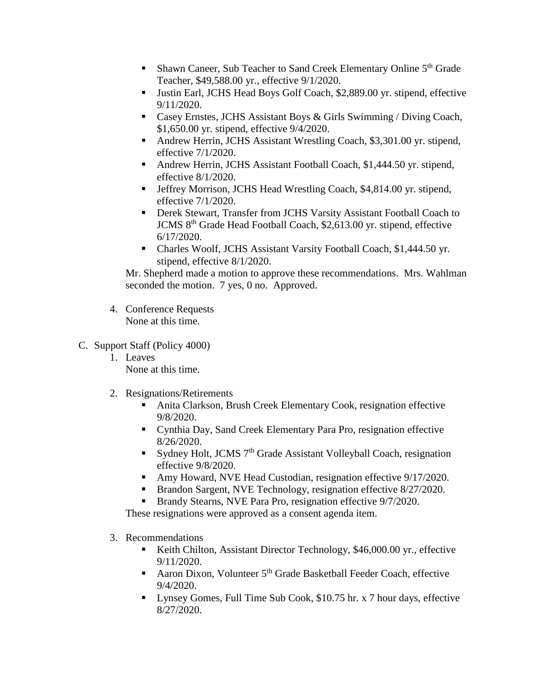- **Shawn Caneer, Sub Teacher to Sand Creek Elementary Online 5th Grade** Teacher, \$49,588.00 yr., effective 9/1/2020.
- Justin Earl, JCHS Head Boys Golf Coach, \$2,889.00 yr. stipend, effective 9/11/2020.
- Casey Ernstes, JCHS Assistant Boys & Girls Swimming / Diving Coach, \$1,650.00 yr. stipend, effective 9/4/2020.
- Andrew Herrin, JCHS Assistant Wrestling Coach, \$3,301.00 yr. stipend, effective 7/1/2020.
- Andrew Herrin, JCHS Assistant Football Coach, \$1,444.50 yr. stipend, effective 8/1/2020.
- Jeffrey Morrison, JCHS Head Wrestling Coach, \$4,814.00 yr. stipend, effective 7/1/2020.
- Derek Stewart, Transfer from JCHS Varsity Assistant Football Coach to JCMS 8th Grade Head Football Coach, \$2,613.00 yr. stipend, effective 6/17/2020.
- Charles Woolf, JCHS Assistant Varsity Football Coach, \$1,444.50 yr. stipend, effective 8/1/2020.

Mr. Shepherd made a motion to approve these recommendations. Mrs. Wahlman seconded the motion. 7 yes, 0 no. Approved.

- 4. Conference Requests None at this time.
- C. Support Staff (Policy 4000)
	- 1. Leaves None at this time.
	- 2. Resignations/Retirements
		- Anita Clarkson, Brush Creek Elementary Cook, resignation effective 9/8/2020.
		- Cynthia Day, Sand Creek Elementary Para Pro, resignation effective 8/26/2020.
		- Sydney Holt, JCMS  $7<sup>th</sup>$  Grade Assistant Volleyball Coach, resignation effective 9/8/2020.
		- Amy Howard, NVE Head Custodian, resignation effective 9/17/2020.
		- Brandon Sargent, NVE Technology, resignation effective 8/27/2020.
		- Brandy Stearns, NVE Para Pro, resignation effective 9/7/2020.

These resignations were approved as a consent agenda item.

- 3. Recommendations
	- Keith Chilton, Assistant Director Technology, \$46,000.00 yr., effective 9/11/2020.
	- Aaron Dixon, Volunteer  $5<sup>th</sup>$  Grade Basketball Feeder Coach, effective 9/4/2020.
	- Lynsey Gomes, Full Time Sub Cook, \$10.75 hr. x 7 hour days, effective 8/27/2020.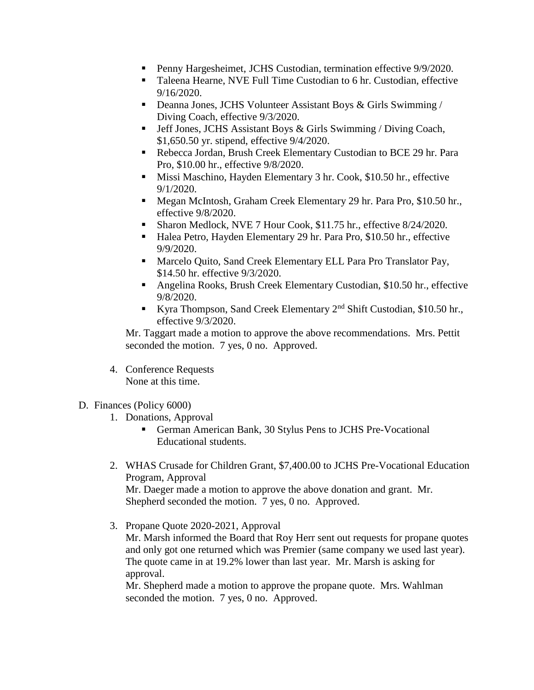- **Penny Hargesheimet, JCHS Custodian, termination effective 9/9/2020.**
- Taleena Hearne, NVE Full Time Custodian to 6 hr. Custodian, effective 9/16/2020.
- Deanna Jones, JCHS Volunteer Assistant Boys & Girls Swimming / Diving Coach, effective 9/3/2020.
- Jeff Jones, JCHS Assistant Boys & Girls Swimming / Diving Coach, \$1,650.50 yr. stipend, effective 9/4/2020.
- Rebecca Jordan, Brush Creek Elementary Custodian to BCE 29 hr. Para Pro, \$10.00 hr., effective 9/8/2020.
- **Missi Maschino, Hayden Elementary 3 hr. Cook, \$10.50 hr., effective** 9/1/2020.
- Megan McIntosh, Graham Creek Elementary 29 hr. Para Pro, \$10.50 hr., effective 9/8/2020.
- Sharon Medlock, NVE 7 Hour Cook, \$11.75 hr., effective 8/24/2020.
- Halea Petro, Hayden Elementary 29 hr. Para Pro, \$10.50 hr., effective 9/9/2020.
- **Marcelo Quito, Sand Creek Elementary ELL Para Pro Translator Pay,** \$14.50 hr. effective 9/3/2020.
- Angelina Rooks, Brush Creek Elementary Custodian, \$10.50 hr., effective 9/8/2020.
- Kyra Thompson, Sand Creek Elementary  $2<sup>nd</sup>$  Shift Custodian, \$10.50 hr., effective 9/3/2020.

Mr. Taggart made a motion to approve the above recommendations. Mrs. Pettit seconded the motion. 7 yes, 0 no. Approved.

- 4. Conference Requests None at this time.
- D. Finances (Policy 6000)
	- 1. Donations, Approval
		- German American Bank, 30 Stylus Pens to JCHS Pre-Vocational Educational students.
	- 2. WHAS Crusade for Children Grant, \$7,400.00 to JCHS Pre-Vocational Education Program, Approval Mr. Daeger made a motion to approve the above donation and grant. Mr. Shepherd seconded the motion. 7 yes, 0 no. Approved.
	- 3. Propane Quote 2020-2021, Approval

Mr. Marsh informed the Board that Roy Herr sent out requests for propane quotes and only got one returned which was Premier (same company we used last year). The quote came in at 19.2% lower than last year. Mr. Marsh is asking for approval.

Mr. Shepherd made a motion to approve the propane quote. Mrs. Wahlman seconded the motion. 7 yes, 0 no. Approved.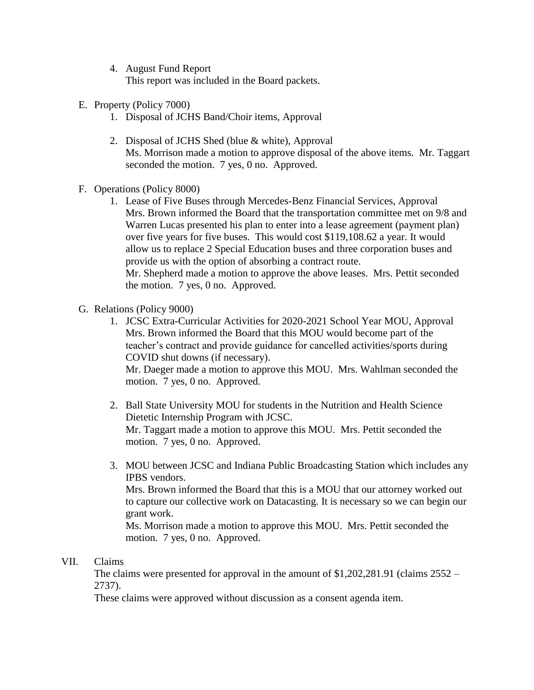- 4. August Fund Report This report was included in the Board packets.
- E. Property (Policy 7000)
	- 1. Disposal of JCHS Band/Choir items, Approval
	- 2. Disposal of JCHS Shed (blue & white), Approval Ms. Morrison made a motion to approve disposal of the above items. Mr. Taggart seconded the motion. 7 yes, 0 no. Approved.
- F. Operations (Policy 8000)
	- 1. Lease of Five Buses through Mercedes-Benz Financial Services, Approval Mrs. Brown informed the Board that the transportation committee met on 9/8 and Warren Lucas presented his plan to enter into a lease agreement (payment plan) over five years for five buses. This would cost \$119,108.62 a year. It would allow us to replace 2 Special Education buses and three corporation buses and provide us with the option of absorbing a contract route. Mr. Shepherd made a motion to approve the above leases. Mrs. Pettit seconded the motion. 7 yes, 0 no. Approved.
- G. Relations (Policy 9000)
	- 1. JCSC Extra-Curricular Activities for 2020-2021 School Year MOU, Approval Mrs. Brown informed the Board that this MOU would become part of the teacher's contract and provide guidance for cancelled activities/sports during COVID shut downs (if necessary).

Mr. Daeger made a motion to approve this MOU. Mrs. Wahlman seconded the motion. 7 yes, 0 no. Approved.

- 2. Ball State University MOU for students in the Nutrition and Health Science Dietetic Internship Program with JCSC. Mr. Taggart made a motion to approve this MOU. Mrs. Pettit seconded the motion. 7 yes, 0 no. Approved.
- 3. MOU between JCSC and Indiana Public Broadcasting Station which includes any IPBS vendors. Mrs. Brown informed the Board that this is a MOU that our attorney worked out to capture our collective work on Datacasting. It is necessary so we can begin our grant work.

Ms. Morrison made a motion to approve this MOU. Mrs. Pettit seconded the motion. 7 yes, 0 no. Approved.

## VII. Claims

The claims were presented for approval in the amount of \$1,202,281.91 (claims 2552 – 2737).

These claims were approved without discussion as a consent agenda item.